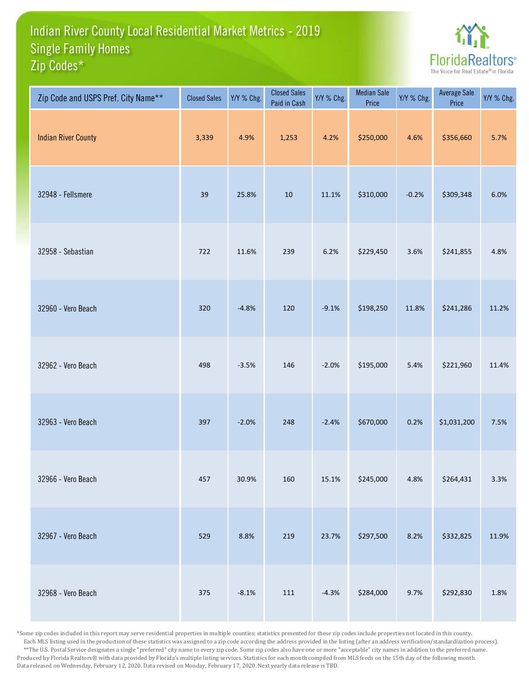## Indian River County Local Residential Market Metrics - 2019 Zip Codes\* Single Family Homes



| Zip Code and USPS Pref. City Name** | <b>Closed Sales</b> | Y/Y % Chg. | <b>Closed Sales</b><br>Paid in Cash | Y/Y % Chg. | <b>Median Sale</b><br>Price | Y/Y % Chg. | <b>Average Sale</b><br>Price | Y/Y % Chg. |
|-------------------------------------|---------------------|------------|-------------------------------------|------------|-----------------------------|------------|------------------------------|------------|
| <b>Indian River County</b>          | 3,339               | 4.9%       | 1,253                               | 4.2%       | \$250,000                   | 4.6%       | \$356,660                    | 5.7%       |
| 32948 - Fellsmere                   | 39                  | 25.8%      | $10\,$                              | 11.1%      | \$310,000                   | $-0.2%$    | \$309,348                    | 6.0%       |
| 32958 - Sebastian                   | 722                 | 11.6%      | 239                                 | 6.2%       | \$229,450                   | 3.6%       | \$241,855                    | 4.8%       |
| 32960 - Vero Beach                  | 320                 | $-4.8%$    | 120                                 | $-9.1%$    | \$198,250                   | 11.8%      | \$241,286                    | 11.2%      |
| 32962 - Vero Beach                  | 498                 | $-3.5%$    | 146                                 | $-2.0%$    | \$195,000                   | 5.4%       | \$221,960                    | 11.4%      |
| 32963 - Vero Beach                  | 397                 | $-2.0%$    | 248                                 | $-2.4%$    | \$670,000                   | 0.2%       | \$1,031,200                  | 7.5%       |
| 32966 - Vero Beach                  | 457                 | 30.9%      | 160                                 | 15.1%      | \$245,000                   | 4.8%       | \$264,431                    | 3.3%       |
| 32967 - Vero Beach                  | 529                 | 8.8%       | 219                                 | 23.7%      | \$297,500                   | 8.2%       | \$332,825                    | 11.9%      |
| 32968 - Vero Beach                  | 375                 | $-8.1%$    | 111                                 | $-4.3%$    | \$284,000                   | 9.7%       | \$292,830                    | 1.8%       |

\*Some zip codes included in this report may serve residential properties in multiple counties; statistics presented for these zip codes include properties not located in this county. Each MLS listing used in the production of these statistics was assigned to a zip code according the address provided in the listing (after an address verification/standardization process). \*\*The U.S. Postal Service designates a single "preferred" city name to every zip code. Some zip codes also have one or more "acceptable" city names in addition to the preferred name. Produced by Florida Realtors® with data provided by Florida's multiple listing services. Statistics for each month compiled from MLS feeds on the 15th day of the following month. Data released on Wednesday, February 12, 2020. Data revised on Monday, February 17, 2020. Next yearly data release is TBD.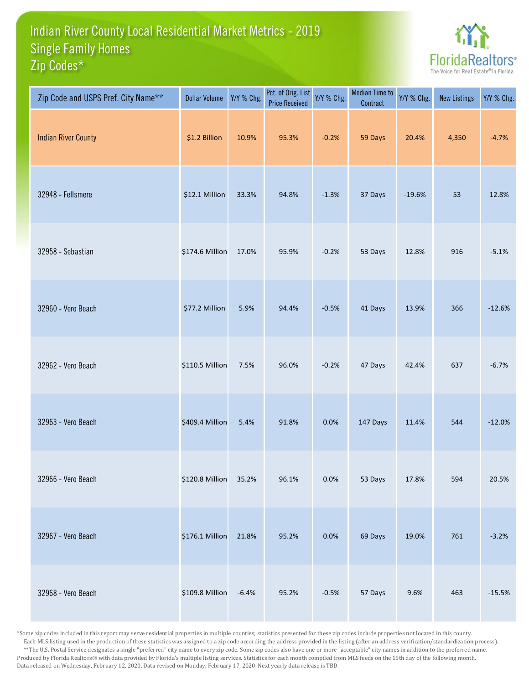## Indian River County Local Residential Market Metrics - 2019 Zip Codes\* Single Family Homes



| Zip Code and USPS Pref. City Name** | <b>Dollar Volume</b> | Y/Y % Chg. | Pct. of Orig. List<br><b>Price Received</b> | Y/Y % Chg. | <b>Median Time to</b><br>Contract | Y/Y % Chg. | <b>New Listings</b> | Y/Y % Chg. |
|-------------------------------------|----------------------|------------|---------------------------------------------|------------|-----------------------------------|------------|---------------------|------------|
| <b>Indian River County</b>          | \$1.2 Billion        | 10.9%      | 95.3%                                       | $-0.2%$    | 59 Days                           | 20.4%      | 4,350               | $-4.7%$    |
| 32948 - Fellsmere                   | \$12.1 Million       | 33.3%      | 94.8%                                       | $-1.3%$    | 37 Days                           | $-19.6%$   | 53                  | 12.8%      |
| 32958 - Sebastian                   | \$174.6 Million      | 17.0%      | 95.9%                                       | $-0.2%$    | 53 Days                           | 12.8%      | 916                 | $-5.1%$    |
| 32960 - Vero Beach                  | \$77.2 Million       | 5.9%       | 94.4%                                       | $-0.5%$    | 41 Days                           | 13.9%      | 366                 | $-12.6%$   |
| 32962 - Vero Beach                  | \$110.5 Million      | 7.5%       | 96.0%                                       | $-0.2%$    | 47 Days                           | 42.4%      | 637                 | $-6.7%$    |
| 32963 - Vero Beach                  | \$409.4 Million      | 5.4%       | 91.8%                                       | 0.0%       | 147 Days                          | 11.4%      | 544                 | $-12.0%$   |
| 32966 - Vero Beach                  | \$120.8 Million      | 35.2%      | 96.1%                                       | 0.0%       | 53 Days                           | 17.8%      | 594                 | 20.5%      |
| 32967 - Vero Beach                  | \$176.1 Million      | 21.8%      | 95.2%                                       | 0.0%       | 69 Days                           | 19.0%      | 761                 | $-3.2%$    |
| 32968 - Vero Beach                  | \$109.8 Million      | $-6.4%$    | 95.2%                                       | $-0.5%$    | 57 Days                           | 9.6%       | 463                 | $-15.5%$   |

\*Some zip codes included in this report may serve residential properties in multiple counties; statistics presented for these zip codes include properties not located in this county. Each MLS listing used in the production of these statistics was assigned to a zip code according the address provided in the listing (after an address verification/standardization process). \*\*The U.S. Postal Service designates a single "preferred" city name to every zip code. Some zip codes also have one or more "acceptable" city names in addition to the preferred name. Produced by Florida Realtors® with data provided by Florida's multiple listing services. Statistics for each month compiled from MLS feeds on the 15th day of the following month. Data released on Wednesday, February 12, 2020. Data revised on Monday, February 17, 2020. Next yearly data release is TBD.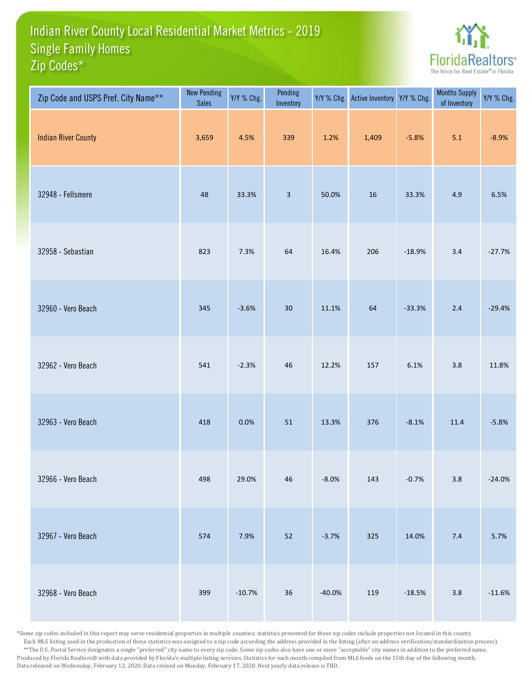## Indian River County Local Residential Market Metrics - 2019 Zip Codes\* Single Family Homes



| Zip Code and USPS Pref. City Name** | <b>New Pending</b><br><b>Sales</b> | Y/Y % Chg. | Pending<br>Inventory    | Y/Y % Chg. | Active Inventory Y/Y % Chg. |          | <b>Months Supply</b><br>of Inventory | Y/Y % Chg. |
|-------------------------------------|------------------------------------|------------|-------------------------|------------|-----------------------------|----------|--------------------------------------|------------|
| <b>Indian River County</b>          | 3,659                              | 4.5%       | 339                     | 1.2%       | 1,409                       | $-5.8%$  | 5.1                                  | $-8.9%$    |
| 32948 - Fellsmere                   | 48                                 | 33.3%      | $\overline{\mathbf{3}}$ | 50.0%      | 16                          | 33.3%    | 4.9                                  | 6.5%       |
| 32958 - Sebastian                   | 823                                | 7.3%       | 64                      | 16.4%      | 206                         | $-18.9%$ | 3.4                                  | $-27.7%$   |
| 32960 - Vero Beach                  | 345                                | $-3.6%$    | 30                      | 11.1%      | 64                          | $-33.3%$ | $2.4$                                | $-29.4%$   |
| 32962 - Vero Beach                  | 541                                | $-2.3%$    | 46                      | 12.2%      | 157                         | 6.1%     | 3.8                                  | 11.8%      |
| 32963 - Vero Beach                  | 418                                | 0.0%       | 51                      | 13.3%      | 376                         | $-8.1%$  | 11.4                                 | $-5.8%$    |
| 32966 - Vero Beach                  | 498                                | 29.0%      | 46                      | $-8.0%$    | 143                         | $-0.7%$  | $3.8\,$                              | $-24.0%$   |
| 32967 - Vero Beach                  | 574                                | 7.9%       | 52                      | $-3.7%$    | 325                         | 14.0%    | 7.4                                  | 5.7%       |
| 32968 - Vero Beach                  | 399                                | $-10.7%$   | $36\,$                  | $-40.0%$   | 119                         | $-18.5%$ | $3.8\,$                              | $-11.6%$   |

\*Some zip codes included in this report may serve residential properties in multiple counties; statistics presented for these zip codes include properties not located in this county. Each MLS listing used in the production of these statistics was assigned to a zip code according the address provided in the listing (after an address verification/standardization process). \*\*The U.S. Postal Service designates a single "preferred" city name to every zip code. Some zip codes also have one or more "acceptable" city names in addition to the preferred name. Produced by Florida Realtors® with data provided by Florida's multiple listing services. Statistics for each month compiled from MLS feeds on the 15th day of the following month. Data released on Wednesday, February 12, 2020. Data revised on Monday, February 17, 2020. Next yearly data release is TBD.